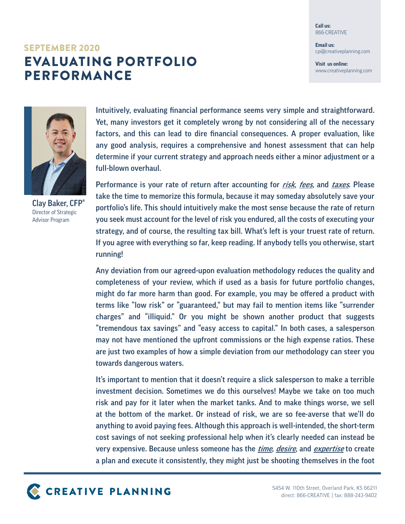**Call us:** 866-CREATIVE

**Email us:** cpi@creativeplanning.com

**Visit us online:** www.creativeplanning.com

## EVALUATING PORTFOLIO PERFORMANCE SEPTEMBER 2020



Clay Baker, CFP® Director of Strategic Advisor Program

Intuitively, evaluating financial performance seems very simple and straightforward. Yet, many investors get it completely wrong by not considering all of the necessary factors, and this can lead to dire financial consequences. A proper evaluation, like any good analysis, requires a comprehensive and honest assessment that can help determine if your current strategy and approach needs either a minor adjustment or a full-blown overhaul.

Performance is your rate of return after accounting for risk, fees, and taxes. Please take the time to memorize this formula, because it may someday absolutely save your portfolio's life. This should intuitively make the most sense because the rate of return you seek must account for the level of risk you endured, all the costs of executing your strategy, and of course, the resulting tax bill. What's left is your truest rate of return. If you agree with everything so far, keep reading. If anybody tells you otherwise, start running!

Any deviation from our agreed-upon evaluation methodology reduces the quality and completeness of your review, which if used as a basis for future portfolio changes, might do far more harm than good. For example, you may be offered a product with terms like "low risk" or "guaranteed," but may fail to mention items like "surrender charges" and "illiquid." Or you might be shown another product that suggests "tremendous tax savings" and "easy access to capital." In both cases, a salesperson may not have mentioned the upfront commissions or the high expense ratios. These are just two examples of how a simple deviation from our methodology can steer you towards dangerous waters.

It's important to mention that it doesn't require a slick salesperson to make a terrible investment decision. Sometimes we do this ourselves! Maybe we take on too much risk and pay for it later when the market tanks. And to make things worse, we sell at the bottom of the market. Or instead of risk, we are so fee-averse that we'll do anything to avoid paying fees. Although this approach is well-intended, the short-term cost savings of not seeking professional help when it's clearly needed can instead be very expensive. Because unless someone has the *time, desire*, and *expertise* to create a plan and execute it consistently, they might just be shooting themselves in the foot